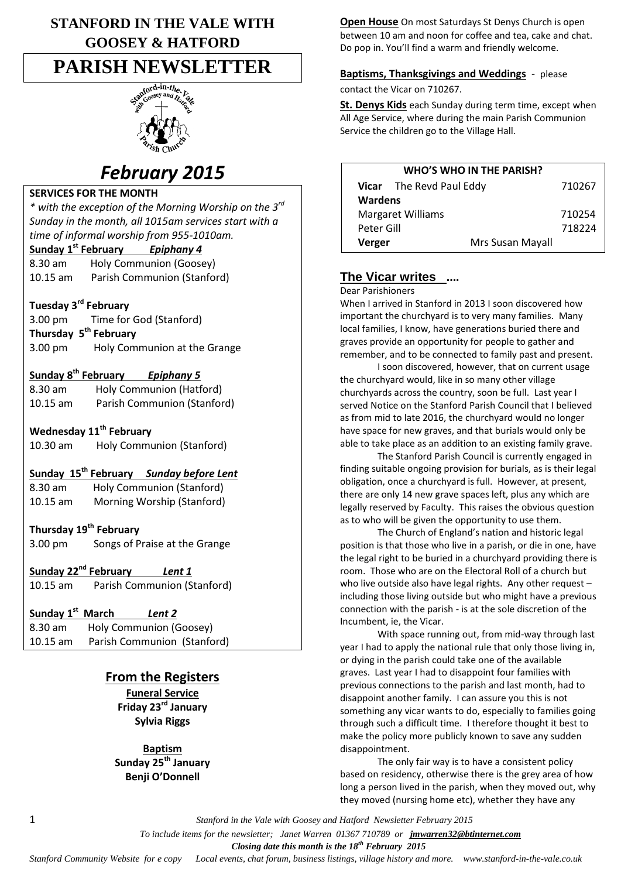# **STANFORD IN THE VALE WITH GOOSEY & HATFORD**

# **PARISH NEWSLETTER**



# *February 2015*

#### **SERVICES FOR THE MONTH**

*\* with the exception of the Morning Worship on the 3rd Sunday in the month, all 1015am services start with a time of informal worship from 955-1010am.*

# **Sunday 1 st February** *Epiphany 4*

8.30 am Holy Communion (Goosey) 10.15 am Parish Communion (Stanford)

### **Tuesday 3rd February**

3.00 pm Time for God (Stanford) **Thursday 5 th February** 3.00 pm Holy Communion at the Grange

### **Sunday 8th February** *Epiphany 5*

| 8.30 am    | Holy Communion (Hatford)    |
|------------|-----------------------------|
| $10.15$ am | Parish Communion (Stanford) |

### **Wednesday 11th February**

10.30 am Holy Communion (Stanford)

## **Sunday 15th February** *Sunday before Lent*

8.30 am Holy Communion (Stanford)

10.15 am Morning Worship (Stanford)

## **Thursday 19th February**

3.00 pm Songs of Praise at the Grange

**Sunday 22nd February** *Lent 1* 10.15 am Parish Communion (Stanford)

# **Sunday 1st March** *Lent 2*

8.30 am Holy Communion (Goosey) 10.15 am Parish Communion (Stanford)

## **From the Registers**

**Funeral Service Friday 23rd January Sylvia Riggs**

**Baptism Sunday 25th January Benji O'Donnell**

**Open House** On most Saturdays St Denys Church is open between 10 am and noon for coffee and tea, cake and chat. Do pop in. You'll find a warm and friendly welcome.

### **Baptisms, Thanksgivings and Weddings** - please contact the Vicar on 710267.

**St. Denys Kids** each Sunday during term time, except when All Age Service, where during the main Parish Communion Service the children go to the Village Hall.

| WHO'S WHO IN THE PARISH? |                                 |                  |        |  |  |
|--------------------------|---------------------------------|------------------|--------|--|--|
|                          | <b>Vicar</b> The Revd Paul Eddy |                  | 710267 |  |  |
| <b>Wardens</b>           |                                 |                  |        |  |  |
| <b>Margaret Williams</b> |                                 |                  | 710254 |  |  |
| Peter Gill               |                                 |                  | 718224 |  |  |
| Verger                   |                                 | Mrs Susan Mayall |        |  |  |
|                          |                                 |                  |        |  |  |

# **The Vicar writes ....**

Dear Parishioners

When I arrived in Stanford in 2013 I soon discovered how important the churchyard is to very many families. Many local families, I know, have generations buried there and graves provide an opportunity for people to gather and remember, and to be connected to family past and present.

I soon discovered, however, that on current usage the churchyard would, like in so many other village churchyards across the country, soon be full. Last year I served Notice on the Stanford Parish Council that I believed as from mid to late 2016, the churchyard would no longer have space for new graves, and that burials would only be able to take place as an addition to an existing family grave.

The Stanford Parish Council is currently engaged in finding suitable ongoing provision for burials, as is their legal obligation, once a churchyard is full. However, at present, there are only 14 new grave spaces left, plus any which are legally reserved by Faculty. This raises the obvious question as to who will be given the opportunity to use them.

The Church of England's nation and historic legal position is that those who live in a parish, or die in one, have the legal right to be buried in a churchyard providing there is room. Those who are on the Electoral Roll of a church but who live outside also have legal rights. Any other request – including those living outside but who might have a previous connection with the parish - is at the sole discretion of the Incumbent, ie, the Vicar.

With space running out, from mid-way through last year I had to apply the national rule that only those living in, or dying in the parish could take one of the available graves. Last year I had to disappoint four families with previous connections to the parish and last month, had to disappoint another family. I can assure you this is not something any vicar wants to do, especially to families going through such a difficult time. I therefore thought it best to make the policy more publicly known to save any sudden disappointment.

The only fair way is to have a consistent policy based on residency, otherwise there is the grey area of how long a person lived in the parish, when they moved out, why they moved (nursing home etc), whether they have any

1 *Stanford in the Vale with Goosey and Hatford Newsletter February 2015*

 *To include items for the newsletter; Janet Warren 01367 710789 or jmwarren32@btinternet.com*

 *Closing date this month is the 18th February 2015*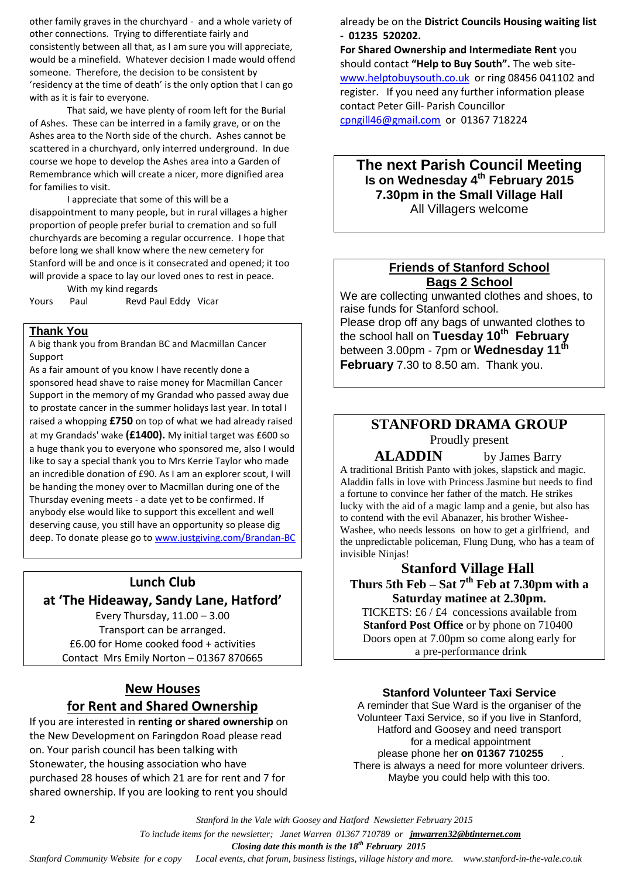other family graves in the churchyard - and a whole variety of other connections. Trying to differentiate fairly and consistently between all that, as I am sure you will appreciate, would be a minefield. Whatever decision I made would offend someone. Therefore, the decision to be consistent by 'residency at the time of death' is the only option that I can go with as it is fair to everyone.

That said, we have plenty of room left for the Burial of Ashes. These can be interred in a family grave, or on the Ashes area to the North side of the church. Ashes cannot be scattered in a churchyard, only interred underground. In due course we hope to develop the Ashes area into a Garden of Remembrance which will create a nicer, more dignified area for families to visit.

I appreciate that some of this will be a disappointment to many people, but in rural villages a higher proportion of people prefer burial to cremation and so full churchyards are becoming a regular occurrence. I hope that before long we shall know where the new cemetery for Stanford will be and once is it consecrated and opened; it too will provide a space to lay our loved ones to rest in peace.

With my kind regards

Yours Paul Revd Paul Eddy Vicar

#### **Thank You**

A big thank you from Brandan BC and Macmillan Cancer Support

As a fair amount of you know I have recently done a sponsored head shave to raise money for Macmillan Cancer Support in the memory of my Grandad who passed away due to prostate cancer in the summer holidays last year. In total I raised a whopping **£750** on top of what we had already raised at my Grandads' wake **(£1400).** My initial target was £600 so a huge thank you to everyone who sponsored me, also I would like to say a special thank you to Mrs Kerrie Taylor who made an incredible donation of £90. As I am an explorer scout, I will be handing the money over to Macmillan during one of the Thursday evening meets - a date yet to be confirmed. If anybody else would like to support this excellent and well deserving cause, you still have an opportunity so please dig deep. To donate please go t[o www.justgiving.com/Brandan-BC](http://www.justgiving.com/Brandan-BC)

# **Lunch Club at 'The Hideaway, Sandy Lane, Hatford'**

Every Thursday, 11.00 – 3.00 Transport can be arranged. £6.00 for Home cooked food + activities Contact Mrs Emily Norton – 01367 870665

## **New Houses for Rent and Shared Ownership**

If you are interested in **renting or shared ownership** on the New Development on Faringdon Road please read on. Your parish council has been talking with Stonewater, the housing association who have purchased 28 houses of which 21 are for rent and 7 for shared ownership. If you are looking to rent you should

already be on the **District Councils Housing waiting list - 01235 520202.**

**For Shared Ownership and Intermediate Rent** you should contact **"Help to Buy South".** The web site[www.helptobuysouth.co.uk](http://www.helptobuysouth.co.uk/) or ring 08456 041102 and register. If you need any further information please contact Peter Gill- Parish Councillor [cpngill46@gmail.com](mailto:cpngill46@gmail.com) or 01367 718224

### **The next Parish Council Meeting Is on Wednesday 4 th February 2015 7.30pm in the Small Village Hall** All Villagers welcome

### **Friends of Stanford School Bags 2 School**

We are collecting unwanted clothes and shoes, to raise funds for Stanford school. Please drop off any bags of unwanted clothes to the school hall on **Tuesday 10th February** between 3.00pm - 7pm or **Wednesday 11th February** 7.30 to 8.50 am. Thank you.

# **STANFORD DRAMA GROUP**

Proudly present

**ALADDIN** by James Barry

A traditional British Panto with jokes, slapstick and magic. Aladdin falls in love with Princess Jasmine but needs to find a fortune to convince her father of the match. He strikes lucky with the aid of a magic lamp and a genie, but also has to contend with the evil Abanazer, his brother Wishee-Washee, who needs lessons on how to get a girlfriend, and the unpredictable policeman, Flung Dung, who has a team of invisible Ninjas!

### **Stanford Village Hall Thurs 5th Feb – Sat 7th Feb at 7.30pm with a Saturday matinee at 2.30pm.**

TICKETS: £6 / £4 concessions available from **Stanford Post Office** or by phone on 710400 Doors open at 7.00pm so come along early for a pre-performance drink

#### **Stanford Volunteer Taxi Service**

A reminder that Sue Ward is the organiser of the Volunteer Taxi Service, so if you live in Stanford, Hatford and Goosey and need transport for a medical appointment please phone her **on 01367 710255** . There is always a need for more volunteer drivers. Maybe you could help with this too.

2 *Stanford in the Vale with Goosey and Hatford Newsletter February 2015*

 *To include items for the newsletter; Janet Warren 01367 710789 or jmwarren32@btinternet.com*

 *Closing date this month is the 18th February 2015*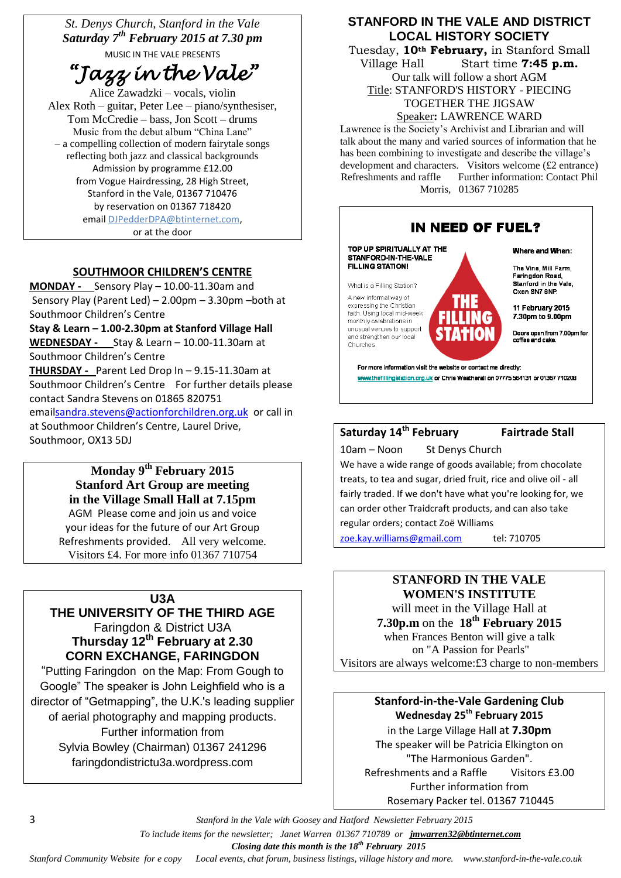*St. Denys Church, Stanford in the Vale Saturday 7th February 2015 at 7.30 pm* MUSIC IN THE VALE PRESENTS

*"Jazz in the Vale"* 

Alice Zawadzki – vocals, violin Alex Roth – guitar, Peter Lee – piano/synthesiser, Tom McCredie – bass, Jon Scott – drums Music from the debut album "China Lane" – a compelling collection of modern fairytale songs reflecting both jazz and classical backgrounds Admission by programme £12.00 from Vogue Hairdressing, 28 High Street, Stanford in the Vale, 01367 710476 by reservation on 01367 718420 email [DJPedderDPA@btinternet.com,](mailto:DJPedderDPA@btinternet.com) or at the door

### **SOUTHMOOR CHILDREN'S CENTRE**

**MONDAY -** Sensory Play – 10.00-11.30am and Sensory Play (Parent Led) – 2.00pm – 3.30pm –both at Southmoor Children's Centre **Stay & Learn – 1.00-2.30pm at Stanford Village Hall**

**WEDNESDAY -** Stay & Learn – 10.00-11.30am at Southmoor Children's Centre **THURSDAY -** Parent Led Drop In – 9.15-11.30am at Southmoor Children's Centre For further details please contact Sandra Stevens on 01865 820751 emai[lsandra.stevens@actionforchildren.org.uk](mailto:sandra.stevens@actionforchildren.org.uk) or call in

at Southmoor Children's Centre, Laurel Drive, Southmoor, OX13 5DJ

### **Monday 9th February 2015 Stanford Art Group are meeting in the Village Small Hall at 7.15pm** AGM Please come and join us and voice

your ideas for the future of our Art Group Refreshments provided. All very welcome. Visitors £4. For more info 01367 710754

#### **U3A**

**THE UNIVERSITY OF THE THIRD AGE** Faringdon & District U3A **Thursday 12th February at 2.30 CORN EXCHANGE, FARINGDON**

"Putting Faringdon on the Map: From Gough to Google" The speaker is John Leighfield who is a director of "Getmapping", the U.K.'s leading supplier of aerial photography and mapping products. Further information from Sylvia Bowley (Chairman) 01367 241296 faringdondistrictu3a.wordpress.com

### **STANFORD IN THE VALE AND DISTRICT LOCAL HISTORY SOCIETY**

Tuesday, **10th February,** in Stanford Small Village Hall Start time **7:45 p.m.** Our talk will follow a short AGM Title: STANFORD'S HISTORY - PIECING TOGETHER THE JIGSAW

Speaker**:** LAWRENCE WARD

Lawrence is the Society's Archivist and Librarian and will talk about the many and varied sources of information that he has been combining to investigate and describe the village's development and characters. Visitors welcome (£2 entrance)<br>Refreshments and raffle Further information: Contact Phil Further information: Contact Phil Morris, 01367 710285



10am – Noon St Denys Church We have a wide range of goods available; from chocolate treats, to tea and sugar, dried fruit, rice and olive oil - all fairly traded. If we don't have what you're looking for, we can order other Traidcraft products, and can also take regular orders; contact Zoë Williams

[zoe.kay.williams@gmail.com](mailto:zoe.kay.williams@gmail.com) tel: 710705

#### **STANFORD IN THE VALE WOMEN'S INSTITUTE**

will meet in the Village Hall at **7.30p.m** on the **18th February 2015** when Frances Benton will give a talk on "A Passion for Pearls" Visitors are always welcome:£3 charge to non-members

# **Stanford-in-the-Vale Gardening Club Wednesday 25 th February 2015**

in the Large Village Hall at **7.30pm** The speaker will be Patricia Elkington on "The Harmonious Garden". Refreshments and a Raffle Visitors £3.00 Further information from Rosemary Packer tel. 01367 710445

3 *Stanford in the Vale with Goosey and Hatford Newsletter February 2015*

 *To include items for the newsletter; Janet Warren 01367 710789 or jmwarren32@btinternet.com*

 *Closing date this month is the 18th February 2015*